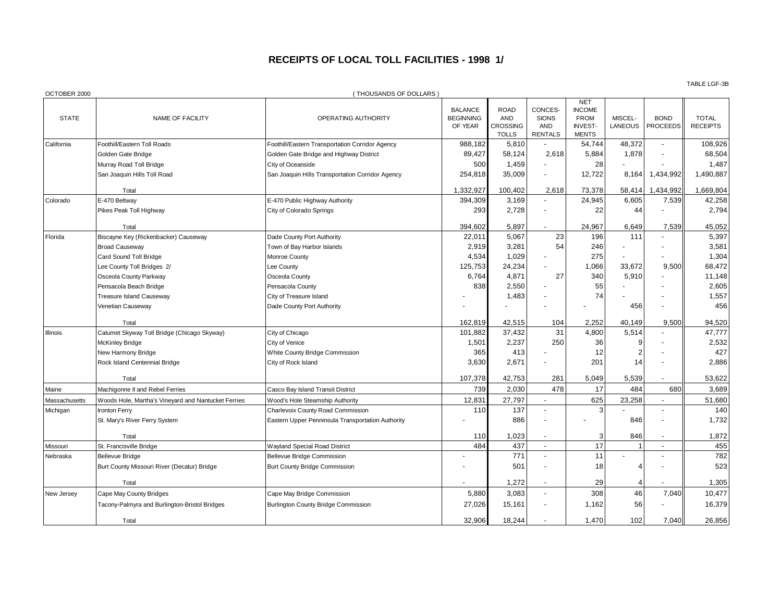## **RECEIPTS OF LOCAL TOLL FACILITIES - 1998 1/**

| OCTOBER 2000  |                                                     | (THOUSANDS OF DOLLARS)                            |                                               |                                                              |                                                         |                                                                              |                           |                                |                                 |
|---------------|-----------------------------------------------------|---------------------------------------------------|-----------------------------------------------|--------------------------------------------------------------|---------------------------------------------------------|------------------------------------------------------------------------------|---------------------------|--------------------------------|---------------------------------|
| <b>STATE</b>  | NAME OF FACILITY                                    | OPERATING AUTHORITY                               | <b>BALANCE</b><br><b>BEGINNING</b><br>OF YEAR | <b>ROAD</b><br><b>AND</b><br><b>CROSSING</b><br><b>TOLLS</b> | CONCES-<br><b>SIONS</b><br><b>AND</b><br><b>RENTALS</b> | <b>NET</b><br><b>INCOME</b><br><b>FROM</b><br><b>INVEST-</b><br><b>MENTS</b> | MISCEL-<br><b>LANEOUS</b> | <b>BOND</b><br><b>PROCEEDS</b> | <b>TOTAL</b><br><b>RECEIPTS</b> |
| California    | Foothill/Eastern Toll Roads                         | Foothill/Eastern Transportation Corridor Agency   | 988,182                                       | 5,810                                                        |                                                         | 54,744                                                                       | 48,372                    |                                | 108,926                         |
|               | Golden Gate Bridge                                  | Golden Gate Bridge and Highway District           | 89,427                                        | 58,124                                                       | 2.618                                                   | 5,884                                                                        | 1,878                     |                                | 68,504                          |
|               | Murray Road Toll Bridge                             | City of Oceanside                                 | 500                                           | 1,459                                                        |                                                         | 28                                                                           |                           |                                | 1,487                           |
|               | San Joaquin Hills Toll Road                         | San Joaquin Hills Transportation Corridor Agency  | 254,818                                       | 35,009                                                       | $\overline{\phantom{a}}$                                | 12,722                                                                       | 8,164                     | 1,434,992                      | 1,490,887                       |
|               | Total                                               |                                                   | 1,332,927                                     | 100,402                                                      | 2,618                                                   | 73,378                                                                       | 58,414                    | 1,434,992                      | 1,669,804                       |
| Colorado      | E-470 Beltway                                       | E-470 Public Highway Authority                    | 394,309                                       | 3,169                                                        |                                                         | 24,945                                                                       | 6,605                     | 7,539                          | 42,258                          |
|               | Pikes Peak Toll Highway                             | City of Colorado Springs                          | 293                                           | 2,728                                                        |                                                         | 22                                                                           | 44                        |                                | 2,794                           |
|               | Total                                               |                                                   | 394,602                                       | 5,897                                                        |                                                         | 24,967                                                                       | 6,649                     | 7,539                          | 45,052                          |
| Florida       | Biscayne Key (Rickenbacker) Causeway                | Dade County Port Authority                        | 22,011                                        | 5,067                                                        | 23                                                      | 196                                                                          | 111                       |                                | 5,397                           |
|               | <b>Broad Causeway</b>                               | Town of Bay Harbor Islands                        | 2,919                                         | 3,281                                                        | 54                                                      | 246                                                                          |                           |                                | 3,581                           |
|               | Card Sound Toll Bridge                              | Monroe County                                     | 4,534                                         | 1,029                                                        |                                                         | 275                                                                          |                           |                                | 1,304                           |
|               | Lee County Toll Bridges 2/                          | Lee County                                        | 125,753                                       | 24,234                                                       |                                                         | 1,066                                                                        | 33,672                    | 9,500                          | 68,472                          |
|               | Osceola County Parkway                              | Osceola County                                    | 6,764                                         | 4,871                                                        | 27                                                      | 340                                                                          | 5,910                     |                                | 11,148                          |
|               | Pensacola Beach Bridge                              | Pensacola County                                  | 838                                           | 2,550                                                        |                                                         | 55                                                                           |                           |                                | 2,605                           |
|               | <b>Treasure Island Causeway</b>                     | City of Treasure Island                           |                                               | 1,483                                                        |                                                         | 74                                                                           |                           |                                | 1,557                           |
|               | Venetian Causeway                                   | Dade County Port Authority                        |                                               |                                                              |                                                         | ÷,                                                                           | 456                       |                                | 456                             |
|               | Total                                               |                                                   | 162,819                                       | 42,515                                                       | 104                                                     | 2,252                                                                        | 40,149                    | 9,500                          | 94,520                          |
| Illinois      | Calumet Skyway Toll Bridge (Chicago Skyway)         | City of Chicago                                   | 101,882                                       | 37,432                                                       | 31                                                      | 4,800                                                                        | 5,514                     |                                | 47,777                          |
|               | McKinley Bridge                                     | City of Venice                                    | 1,501                                         | 2,237                                                        | 250                                                     | 36                                                                           | 9                         |                                | 2,532                           |
|               | New Harmony Bridge                                  | White County Bridge Commission                    | 365                                           | 413                                                          |                                                         | 12                                                                           | $\overline{2}$            |                                | 427                             |
|               | Rock Island Centennial Bridge                       | City of Rock Island                               | 3,630                                         | 2,671                                                        |                                                         | 201                                                                          | 14                        |                                | 2.886                           |
|               | Total                                               |                                                   | 107,378                                       | 42,753                                                       | 281                                                     | 5,049                                                                        | 5,539                     |                                | 53,622                          |
| Maine         | Machigonne II and Rebel Ferries                     | Casco Bay Island Transit District                 | 739                                           | 2,030                                                        | 478                                                     | 17                                                                           | 484                       | 680                            | 3,689                           |
| Massachusetts | Woods Hole, Martha's Vineyard and Nantucket Ferries | Wood's Hole Steamship Authority                   | 12,831                                        | 27,797                                                       |                                                         | 625                                                                          | 23,258                    |                                | 51,680                          |
| Michigan      | <b>Ironton Ferry</b>                                | Charlevoix County Road Commission                 | 110                                           | 137                                                          |                                                         | 3                                                                            |                           |                                | 140                             |
|               | St. Mary's River Ferry System                       | Eastern Upper Penninsula Transportation Authority |                                               | 886                                                          |                                                         |                                                                              | 846                       |                                | 1,732                           |
|               | Total                                               |                                                   | 110                                           | 1,023                                                        |                                                         | 3                                                                            | 846                       |                                | 1,872                           |
| Missouri      | St. Francisville Bridge                             | Wayland Special Road District                     | 484                                           | 437                                                          | $\overline{\phantom{a}}$                                | 17                                                                           | $\mathbf 1$               | $\overline{a}$                 | 455                             |
| Nebraska      | <b>Bellevue Bridge</b>                              | <b>Bellevue Bridge Commission</b>                 |                                               | 771                                                          |                                                         | 11                                                                           |                           |                                | 782                             |
|               | Burt County Missouri River (Decatur) Bridge         | <b>Burt County Bridge Commission</b>              |                                               | 501                                                          |                                                         | 18                                                                           | $\boldsymbol{\Delta}$     |                                | 523                             |
|               | Total                                               |                                                   |                                               | 1,272                                                        |                                                         | 29                                                                           | $\overline{4}$            |                                | 1,305                           |
| New Jersey    | Cape May County Bridges                             | Cape May Bridge Commission                        | 5,880                                         | 3,083                                                        |                                                         | 308                                                                          | 46                        | 7,040                          | 10,477                          |
|               | Tacony-Palmyra and Burlington-Bristol Bridges       | <b>Burlington County Bridge Commission</b>        | 27,026                                        | 15,161                                                       |                                                         | 1,162                                                                        | 56                        |                                | 16,379                          |
|               | Total                                               |                                                   | 32,906                                        | 18,244                                                       |                                                         | 1,470                                                                        | 102                       | 7,040                          | 26,856                          |

TABLE LGF-3B